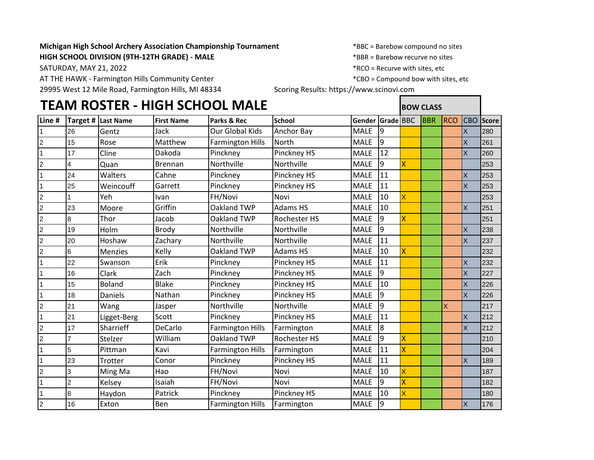## **Michigan High School Archery Association Championship Tournament** \*BBC = Barebow compound no sites

**HIGH SCHOOL DIVISION (9TH-12TH GRADE) - MALE**  $*$ BBR = Barebow recurve no sites

AT THE HAWK - Farmington Hills Community Center \*CHO \* \* \* \* \* \* \* \* \* CBO = Compound bow with sites, etc

29995 West 12 Mile Road, Farmington Hills, MI 48334 Scoring Results: https://www.scinovi.com

SATURDAY, MAY 21, 2022 SATURDAY, MAY 21, 2022

## **TEAM ROSTER - HIGH SCHOOL MALE BOW CLASS Line # Target # Last Name First Name Parks & Rec School Gender Grade** BBC BBR RCO CBO **Score** 1 |26 |Gentz |Jack |Our Global Kids |Anchor Bay | MALE |9 | | | | | | |X |280 15 Rose Matthew Farmington Hills North MALE 9 Nulle November 15 | X 261 1 |17 |Cline |Dakoda |Pinckney |Pinckney HS |MALE |12 | | | |X |260 2 |4 |Quan |Brennan |Northville |Northville |MALE |9 <mark>X | |</mark> |253 1 24 Walters Cahne Pinckney Pinckney HS MALE 11 1 | X 253 1 25 Weincouff Garrett Pinckney Pinckney HS MALE 11 X 253 2 |1 |Yeh |Ivan |FH/Novi |Novi |MALE |10 <mark>X | |</mark> |253 2 |23 |Moore |Griffin |Oakland TWP |Adams HS |MALE |10 | | | | | |X |251 2 8 Thor Jacob | Oakland TWP | Rochester HS | MALE | 9 <mark>X | | |</mark> |251 2 |19 |Holm |Brody |Northville |Northville |MALE |9 | | | |X |238 2 |20 |Hoshaw |Zachary |Northville |Northville |MALE |11 | | | |X |237 2 6 Menzies Kelly Oakland TWP Adams HS MALE 10 X 232 1 |22 |Swanson |Erik |Pinckney |Pinckney HS |MALE |11 | | | | | |X |232 1 |16 |Clark |Zach |Pinckney |Pinckney HS |MALE |9 | | | |X |227 1 |15 |Boland |Blake |Pinckney |Pinckney HS |MALE |10 | | | |X |226 1 |18 |Daniels |Nathan |Pinckney |Pinckney HS |MALE |9 | | | | | |X |226 2 21 Wang Jasper Northville Northville MALE 9 <mark>MALE</mark> X 217 1 |21 |Ligget-Berg |Scott |Pinckney |Pinckney HS |MALE |11 | | | | |X |212 2 17 Sharrieff DeCarlo Farmington Hills Farmington MALE 8 X 212 2 |7 |Stelzer |William |Oakland TWP |Rochester HS |MALE |9 <mark>X | |</mark> |210 1 5 Pittman Kavi Farmington Hills Farmington MALE 11 X 1 204 1 23 |Trotter |Conor |Pinckney |Pinckney HS |MALE |11 | | | | | |X |189 2 |3 |Ming Ma |Hao |FH/Novi |Novi |MALE |10 |<mark>X | | |</mark> |187 1 |2 |Kelsey |Isaiah |FH/Novi |Novi |MALE |9 <mark>X | |</mark> |182 1 |8 |Haydon |Patrick |Pinckney |Pinckney HS |MALE |10 <mark>X | | |</mark> |180 2 16 Exton Ben Farmington Hills Farmington MALE 9 X 176